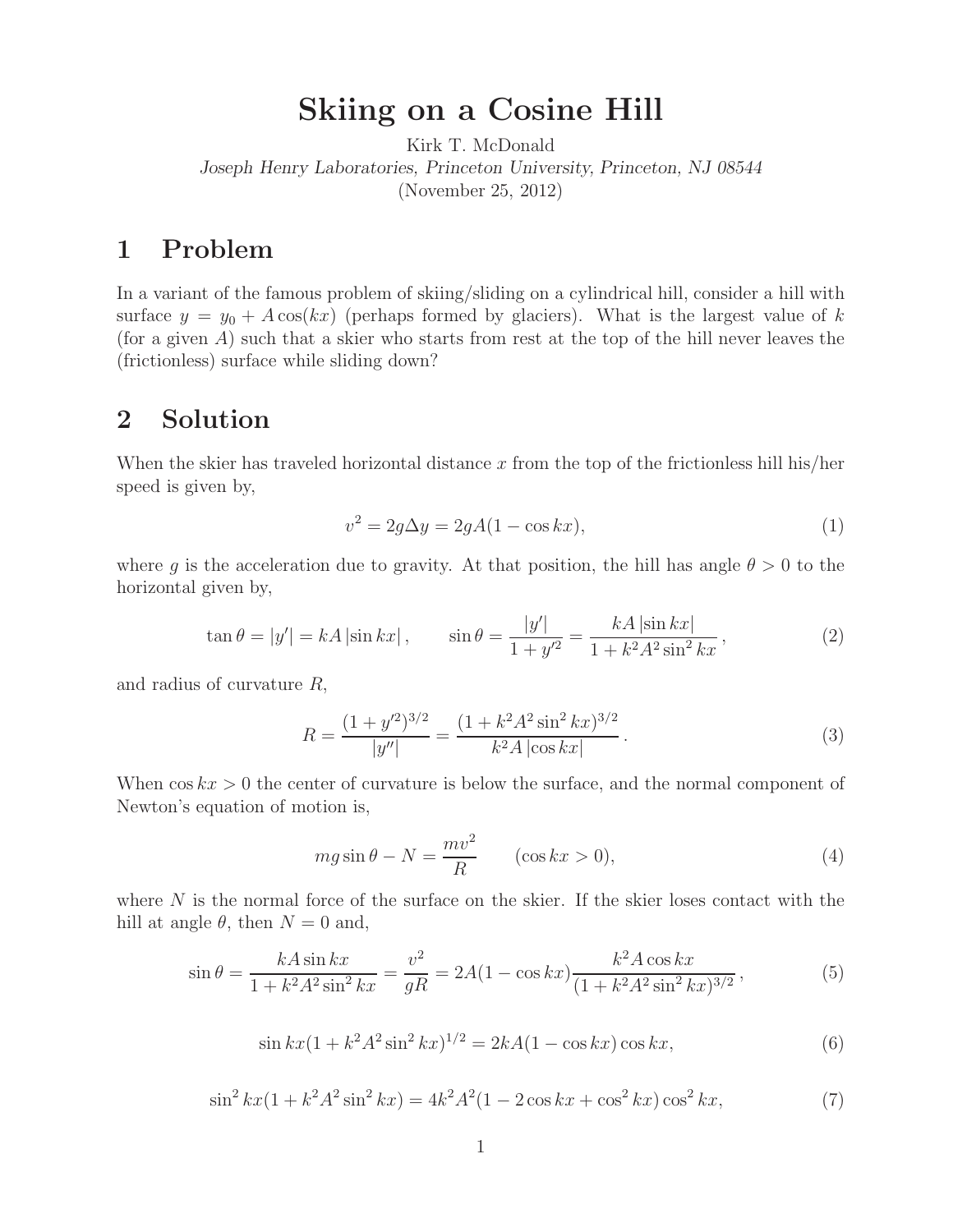Kirk T. McDonald *Joseph Henry Laboratories, Princeton University, Princeton, NJ 08544* (November 25, 2012)

## $\mathbf{1}$ Problem

In a variant of the famous problem of skiing/sliding on a cylindrical hill, consider a hill with surface  $y = y_0 + A \cos(kx)$  (perhaps formed by glaciers). What is the largest value of k (for a given  $A$ ) such that a skier who starts from rest at the top of the hill never leaves the (frictionless) surface while sliding down?

## Solution  $\overline{2}$ **2 Solution**

When the skier has traveled horizontal distance x from the top of the frictionless hill his/her speed is given by,

$$
v^2 = 2g\Delta y = 2gA(1 - \cos kx),\tag{1}
$$

where g is the acceleration due to gravity. At that position, the hill has angle  $\theta > 0$  to the horizontal given by,

$$
\tan \theta = |y'| = kA \left| \sin kx \right|, \qquad \sin \theta = \frac{|y'|}{1 + y'^2} = \frac{kA \left| \sin kx \right|}{1 + k^2 A^2 \sin^2 kx}, \tag{2}
$$

and radius of curvature R,

$$
R = \frac{(1 + y'^2)^{3/2}}{|y''|} = \frac{(1 + k^2 A^2 \sin^2 kx)^{3/2}}{k^2 A |\cos kx|}.
$$
 (3)

When  $\cos kx > 0$  the center of curvature is below the surface, and the normal component of Newton's equation of motion is,

$$
mg\sin\theta - N = \frac{mv^2}{R} \qquad (\cos kx > 0),\tag{4}
$$

where  $N$  is the normal force of the surface on the skier. If the skier loses contact with the hill at angle  $\theta$ , then  $N = 0$  and,

$$
\sin \theta = \frac{kA \sin kx}{1 + k^2 A^2 \sin^2 kx} = \frac{v^2}{gR} = 2A(1 - \cos kx) \frac{k^2 A \cos kx}{(1 + k^2 A^2 \sin^2 kx)^{3/2}},
$$
(5)

$$
\sin kx (1 + k^2 A^2 \sin^2 kx)^{1/2} = 2kA(1 - \cos kx) \cos kx,\tag{6}
$$

$$
\sin^2 kx(1 + k^2A^2\sin^2 kx) = 4k^2A^2(1 - 2\cos kx + \cos^2 kx)\cos^2 kx,\tag{7}
$$